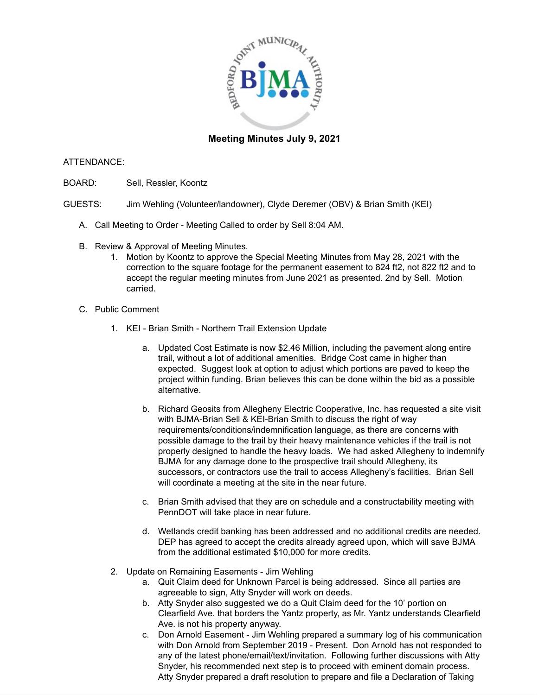

## **Meeting Minutes July 9, 2021**

## ATTENDANCE:

- BOARD: Sell, Ressler, Koontz
- GUESTS: Jim Wehling (Volunteer/landowner), Clyde Deremer (OBV) & Brian Smith (KEI)
	- A. Call Meeting to Order Meeting Called to order by Sell 8:04 AM.
	- B. Review & Approval of Meeting Minutes.
		- 1. Motion by Koontz to approve the Special Meeting Minutes from May 28, 2021 with the correction to the square footage for the permanent easement to 824 ft2, not 822 ft2 and to accept the regular meeting minutes from June 2021 as presented. 2nd by Sell. Motion carried.
	- C. Public Comment
		- 1. KEI Brian Smith Northern Trail Extension Update
			- a. Updated Cost Estimate is now \$2.46 Million, including the pavement along entire trail, without a lot of additional amenities. Bridge Cost came in higher than expected. Suggest look at option to adjust which portions are paved to keep the project within funding. Brian believes this can be done within the bid as a possible alternative.
			- b. Richard Geosits from Allegheny Electric Cooperative, Inc. has requested a site visit with BJMA-Brian Sell & KEI-Brian Smith to discuss the right of way requirements/conditions/indemnification language, as there are concerns with possible damage to the trail by their heavy maintenance vehicles if the trail is not properly designed to handle the heavy loads. We had asked Allegheny to indemnify BJMA for any damage done to the prospective trail should Allegheny, its successors, or contractors use the trail to access Allegheny's facilities. Brian Sell will coordinate a meeting at the site in the near future.
			- c. Brian Smith advised that they are on schedule and a constructability meeting with PennDOT will take place in near future.
			- d. Wetlands credit banking has been addressed and no additional credits are needed. DEP has agreed to accept the credits already agreed upon, which will save BJMA from the additional estimated \$10,000 for more credits.
		- 2. Update on Remaining Easements Jim Wehling
			- a. Quit Claim deed for Unknown Parcel is being addressed. Since all parties are agreeable to sign, Atty Snyder will work on deeds.
			- b. Atty Snyder also suggested we do a Quit Claim deed for the 10' portion on Clearfield Ave. that borders the Yantz property, as Mr. Yantz understands Clearfield Ave. is not his property anyway.
			- c. Don Arnold Easement Jim Wehling prepared a summary log of his communication with Don Arnold from September 2019 - Present. Don Arnold has not responded to any of the latest phone/email/text/invitation. Following further discussions with Atty Snyder, his recommended next step is to proceed with eminent domain process. Atty Snyder prepared a draft resolution to prepare and file a Declaration of Taking